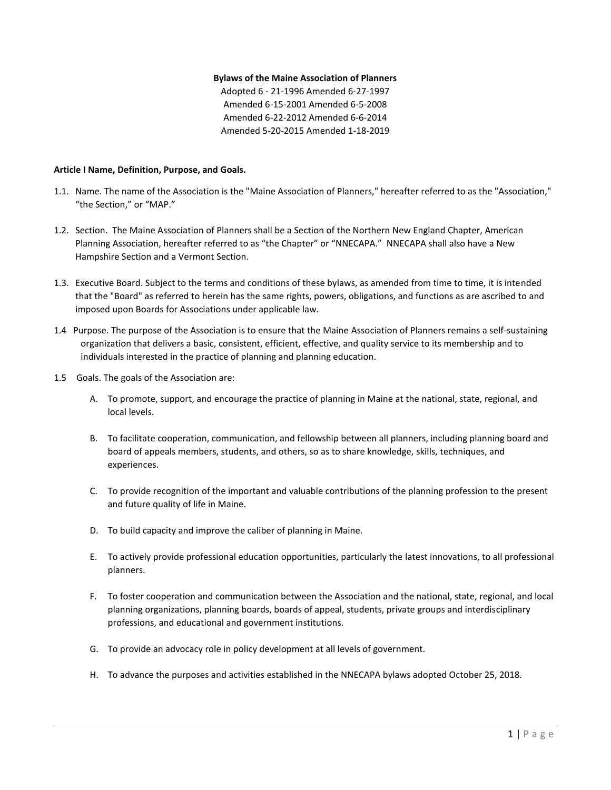#### **Bylaws of the Maine Association of Planners**

Adopted 6 - 21-1996 Amended 6-27-1997 Amended 6-15-2001 Amended 6-5-2008 Amended 6-22-2012 Amended 6-6-2014 Amended 5-20-2015 Amended 1-18-2019

#### **Article I Name, Definition, Purpose, and Goals.**

- 1.1. Name. The name of the Association is the "Maine Association of Planners," hereafter referred to as the "Association," "the Section," or "MAP."
- 1.2. Section. The Maine Association of Planners shall be a Section of the Northern New England Chapter, American Planning Association, hereafter referred to as "the Chapter" or "NNECAPA." NNECAPA shall also have a New Hampshire Section and a Vermont Section.
- 1.3. Executive Board. Subject to the terms and conditions of these bylaws, as amended from time to time, it is intended that the "Board" as referred to herein has the same rights, powers, obligations, and functions as are ascribed to and imposed upon Boards for Associations under applicable law.
- 1.4 Purpose. The purpose of the Association is to ensure that the Maine Association of Planners remains a self-sustaining organization that delivers a basic, consistent, efficient, effective, and quality service to its membership and to individuals interested in the practice of planning and planning education.
- 1.5 Goals. The goals of the Association are:
	- A. To promote, support, and encourage the practice of planning in Maine at the national, state, regional, and local levels.
	- B. To facilitate cooperation, communication, and fellowship between all planners, including planning board and board of appeals members, students, and others, so as to share knowledge, skills, techniques, and experiences.
	- C. To provide recognition of the important and valuable contributions of the planning profession to the present and future quality of life in Maine.
	- D. To build capacity and improve the caliber of planning in Maine.
	- E. To actively provide professional education opportunities, particularly the latest innovations, to all professional planners.
	- F. To foster cooperation and communication between the Association and the national, state, regional, and local planning organizations, planning boards, boards of appeal, students, private groups and interdisciplinary professions, and educational and government institutions.
	- G. To provide an advocacy role in policy development at all levels of government.
	- H. To advance the purposes and activities established in the NNECAPA bylaws adopted October 25, 2018.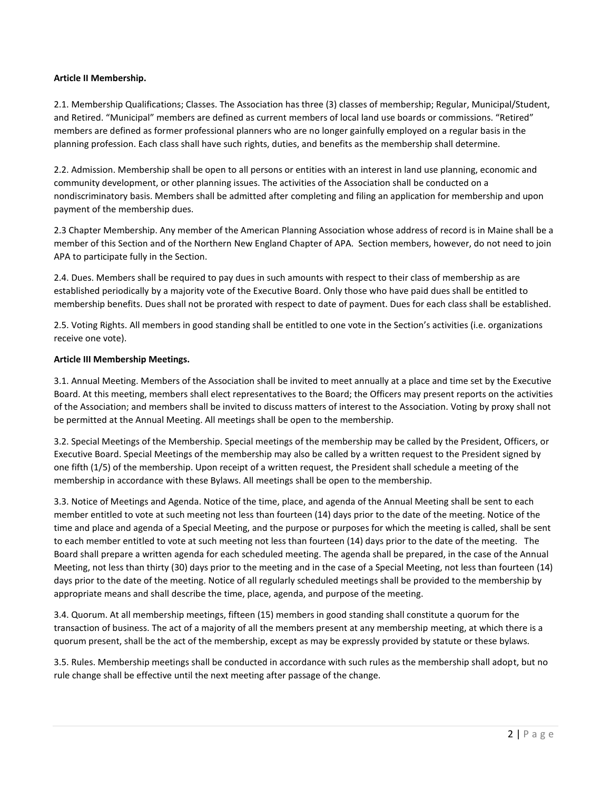# **Article II Membership.**

2.1. Membership Qualifications; Classes. The Association has three (3) classes of membership; Regular, Municipal/Student, and Retired. "Municipal" members are defined as current members of local land use boards or commissions. "Retired" members are defined as former professional planners who are no longer gainfully employed on a regular basis in the planning profession. Each class shall have such rights, duties, and benefits as the membership shall determine.

2.2. Admission. Membership shall be open to all persons or entities with an interest in land use planning, economic and community development, or other planning issues. The activities of the Association shall be conducted on a nondiscriminatory basis. Members shall be admitted after completing and filing an application for membership and upon payment of the membership dues.

2.3 Chapter Membership. Any member of the American Planning Association whose address of record is in Maine shall be a member of this Section and of the Northern New England Chapter of APA. Section members, however, do not need to join APA to participate fully in the Section.

2.4. Dues. Members shall be required to pay dues in such amounts with respect to their class of membership as are established periodically by a majority vote of the Executive Board. Only those who have paid dues shall be entitled to membership benefits. Dues shall not be prorated with respect to date of payment. Dues for each class shall be established.

2.5. Voting Rights. All members in good standing shall be entitled to one vote in the Section's activities (i.e. organizations receive one vote).

## **Article III Membership Meetings.**

3.1. Annual Meeting. Members of the Association shall be invited to meet annually at a place and time set by the Executive Board. At this meeting, members shall elect representatives to the Board; the Officers may present reports on the activities of the Association; and members shall be invited to discuss matters of interest to the Association. Voting by proxy shall not be permitted at the Annual Meeting. All meetings shall be open to the membership.

3.2. Special Meetings of the Membership. Special meetings of the membership may be called by the President, Officers, or Executive Board. Special Meetings of the membership may also be called by a written request to the President signed by one fifth (1/5) of the membership. Upon receipt of a written request, the President shall schedule a meeting of the membership in accordance with these Bylaws. All meetings shall be open to the membership.

3.3. Notice of Meetings and Agenda. Notice of the time, place, and agenda of the Annual Meeting shall be sent to each member entitled to vote at such meeting not less than fourteen (14) days prior to the date of the meeting. Notice of the time and place and agenda of a Special Meeting, and the purpose or purposes for which the meeting is called, shall be sent to each member entitled to vote at such meeting not less than fourteen (14) days prior to the date of the meeting. The Board shall prepare a written agenda for each scheduled meeting. The agenda shall be prepared, in the case of the Annual Meeting, not less than thirty (30) days prior to the meeting and in the case of a Special Meeting, not less than fourteen (14) days prior to the date of the meeting. Notice of all regularly scheduled meetings shall be provided to the membership by appropriate means and shall describe the time, place, agenda, and purpose of the meeting.

3.4. Quorum. At all membership meetings, fifteen (15) members in good standing shall constitute a quorum for the transaction of business. The act of a majority of all the members present at any membership meeting, at which there is a quorum present, shall be the act of the membership, except as may be expressly provided by statute or these bylaws.

3.5. Rules. Membership meetings shall be conducted in accordance with such rules as the membership shall adopt, but no rule change shall be effective until the next meeting after passage of the change.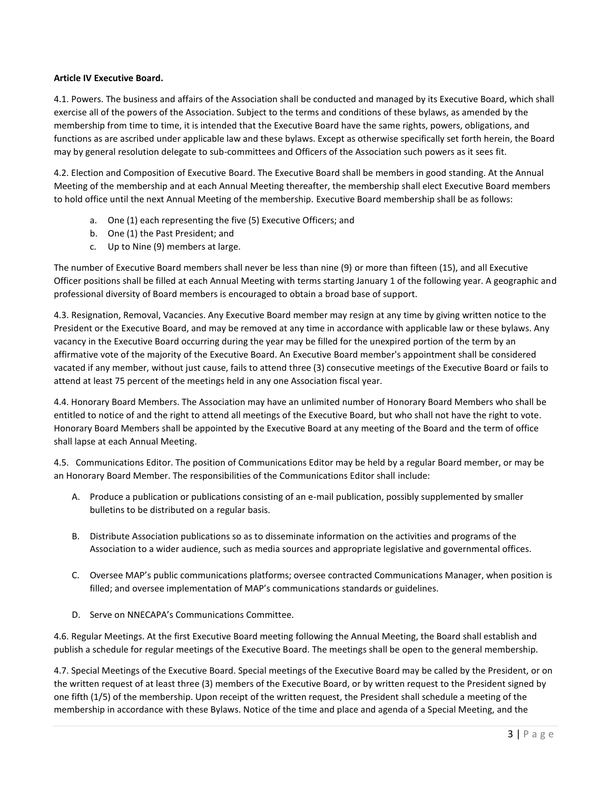# **Article IV Executive Board.**

4.1. Powers. The business and affairs of the Association shall be conducted and managed by its Executive Board, which shall exercise all of the powers of the Association. Subject to the terms and conditions of these bylaws, as amended by the membership from time to time, it is intended that the Executive Board have the same rights, powers, obligations, and functions as are ascribed under applicable law and these bylaws. Except as otherwise specifically set forth herein, the Board may by general resolution delegate to sub-committees and Officers of the Association such powers as it sees fit.

4.2. Election and Composition of Executive Board. The Executive Board shall be members in good standing. At the Annual Meeting of the membership and at each Annual Meeting thereafter, the membership shall elect Executive Board members to hold office until the next Annual Meeting of the membership. Executive Board membership shall be as follows:

- a. One (1) each representing the five (5) Executive Officers; and
- b. One (1) the Past President; and
- c. Up to Nine (9) members at large.

The number of Executive Board members shall never be less than nine (9) or more than fifteen (15), and all Executive Officer positions shall be filled at each Annual Meeting with terms starting January 1 of the following year. A geographic and professional diversity of Board members is encouraged to obtain a broad base of support.

4.3. Resignation, Removal, Vacancies. Any Executive Board member may resign at any time by giving written notice to the President or the Executive Board, and may be removed at any time in accordance with applicable law or these bylaws. Any vacancy in the Executive Board occurring during the year may be filled for the unexpired portion of the term by an affirmative vote of the majority of the Executive Board. An Executive Board member's appointment shall be considered vacated if any member, without just cause, fails to attend three (3) consecutive meetings of the Executive Board or fails to attend at least 75 percent of the meetings held in any one Association fiscal year.

4.4. Honorary Board Members. The Association may have an unlimited number of Honorary Board Members who shall be entitled to notice of and the right to attend all meetings of the Executive Board, but who shall not have the right to vote. Honorary Board Members shall be appointed by the Executive Board at any meeting of the Board and the term of office shall lapse at each Annual Meeting.

4.5. Communications Editor. The position of Communications Editor may be held by a regular Board member, or may be an Honorary Board Member. The responsibilities of the Communications Editor shall include:

- A. Produce a publication or publications consisting of an e-mail publication, possibly supplemented by smaller bulletins to be distributed on a regular basis.
- B. Distribute Association publications so as to disseminate information on the activities and programs of the Association to a wider audience, such as media sources and appropriate legislative and governmental offices.
- C. Oversee MAP's public communications platforms; oversee contracted Communications Manager, when position is filled; and oversee implementation of MAP's communications standards or guidelines.
- D. Serve on NNECAPA's Communications Committee.

4.6. Regular Meetings. At the first Executive Board meeting following the Annual Meeting, the Board shall establish and publish a schedule for regular meetings of the Executive Board. The meetings shall be open to the general membership.

4.7. Special Meetings of the Executive Board. Special meetings of the Executive Board may be called by the President, or on the written request of at least three (3) members of the Executive Board, or by written request to the President signed by one fifth (1/5) of the membership. Upon receipt of the written request, the President shall schedule a meeting of the membership in accordance with these Bylaws. Notice of the time and place and agenda of a Special Meeting, and the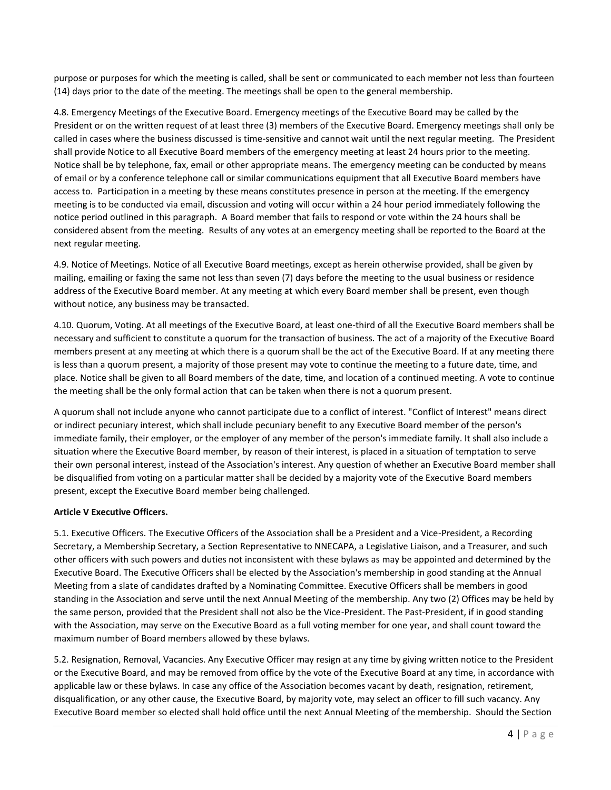purpose or purposes for which the meeting is called, shall be sent or communicated to each member not less than fourteen (14) days prior to the date of the meeting. The meetings shall be open to the general membership.

4.8. Emergency Meetings of the Executive Board. Emergency meetings of the Executive Board may be called by the President or on the written request of at least three (3) members of the Executive Board. Emergency meetings shall only be called in cases where the business discussed is time-sensitive and cannot wait until the next regular meeting. The President shall provide Notice to all Executive Board members of the emergency meeting at least 24 hours prior to the meeting. Notice shall be by telephone, fax, email or other appropriate means. The emergency meeting can be conducted by means of email or by a conference telephone call or similar communications equipment that all Executive Board members have access to. Participation in a meeting by these means constitutes presence in person at the meeting. If the emergency meeting is to be conducted via email, discussion and voting will occur within a 24 hour period immediately following the notice period outlined in this paragraph. A Board member that fails to respond or vote within the 24 hours shall be considered absent from the meeting. Results of any votes at an emergency meeting shall be reported to the Board at the next regular meeting.

4.9. Notice of Meetings. Notice of all Executive Board meetings, except as herein otherwise provided, shall be given by mailing, emailing or faxing the same not less than seven (7) days before the meeting to the usual business or residence address of the Executive Board member. At any meeting at which every Board member shall be present, even though without notice, any business may be transacted.

4.10. Quorum, Voting. At all meetings of the Executive Board, at least one-third of all the Executive Board members shall be necessary and sufficient to constitute a quorum for the transaction of business. The act of a majority of the Executive Board members present at any meeting at which there is a quorum shall be the act of the Executive Board. If at any meeting there is less than a quorum present, a majority of those present may vote to continue the meeting to a future date, time, and place. Notice shall be given to all Board members of the date, time, and location of a continued meeting. A vote to continue the meeting shall be the only formal action that can be taken when there is not a quorum present.

A quorum shall not include anyone who cannot participate due to a conflict of interest. "Conflict of Interest" means direct or indirect pecuniary interest, which shall include pecuniary benefit to any Executive Board member of the person's immediate family, their employer, or the employer of any member of the person's immediate family. It shall also include a situation where the Executive Board member, by reason of their interest, is placed in a situation of temptation to serve their own personal interest, instead of the Association's interest. Any question of whether an Executive Board member shall be disqualified from voting on a particular matter shall be decided by a majority vote of the Executive Board members present, except the Executive Board member being challenged.

## **Article V Executive Officers.**

5.1. Executive Officers. The Executive Officers of the Association shall be a President and a Vice-President, a Recording Secretary, a Membership Secretary, a Section Representative to NNECAPA, a Legislative Liaison, and a Treasurer, and such other officers with such powers and duties not inconsistent with these bylaws as may be appointed and determined by the Executive Board. The Executive Officers shall be elected by the Association's membership in good standing at the Annual Meeting from a slate of candidates drafted by a Nominating Committee. Executive Officers shall be members in good standing in the Association and serve until the next Annual Meeting of the membership. Any two (2) Offices may be held by the same person, provided that the President shall not also be the Vice-President. The Past-President, if in good standing with the Association, may serve on the Executive Board as a full voting member for one year, and shall count toward the maximum number of Board members allowed by these bylaws.

5.2. Resignation, Removal, Vacancies. Any Executive Officer may resign at any time by giving written notice to the President or the Executive Board, and may be removed from office by the vote of the Executive Board at any time, in accordance with applicable law or these bylaws. In case any office of the Association becomes vacant by death, resignation, retirement, disqualification, or any other cause, the Executive Board, by majority vote, may select an officer to fill such vacancy. Any Executive Board member so elected shall hold office until the next Annual Meeting of the membership. Should the Section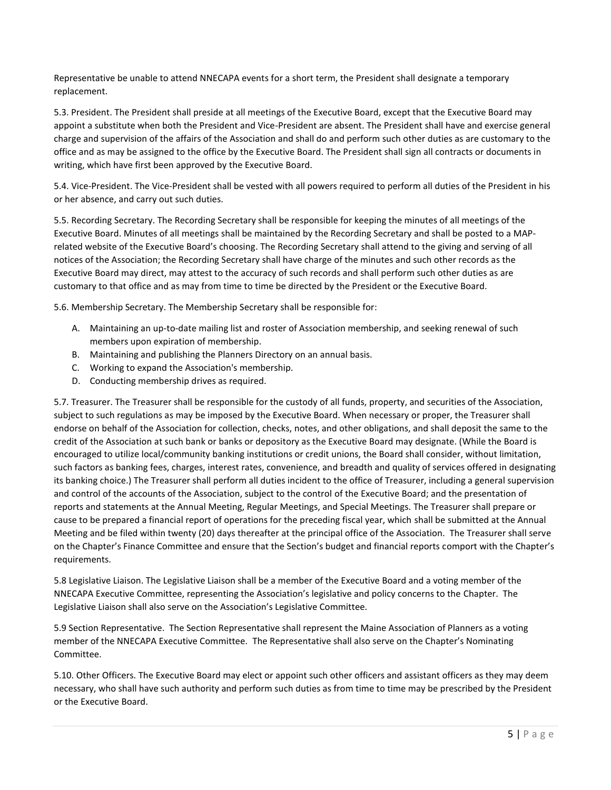Representative be unable to attend NNECAPA events for a short term, the President shall designate a temporary replacement.

5.3. President. The President shall preside at all meetings of the Executive Board, except that the Executive Board may appoint a substitute when both the President and Vice-President are absent. The President shall have and exercise general charge and supervision of the affairs of the Association and shall do and perform such other duties as are customary to the office and as may be assigned to the office by the Executive Board. The President shall sign all contracts or documents in writing, which have first been approved by the Executive Board.

5.4. Vice-President. The Vice-President shall be vested with all powers required to perform all duties of the President in his or her absence, and carry out such duties.

5.5. Recording Secretary. The Recording Secretary shall be responsible for keeping the minutes of all meetings of the Executive Board. Minutes of all meetings shall be maintained by the Recording Secretary and shall be posted to a MAPrelated website of the Executive Board's choosing. The Recording Secretary shall attend to the giving and serving of all notices of the Association; the Recording Secretary shall have charge of the minutes and such other records as the Executive Board may direct, may attest to the accuracy of such records and shall perform such other duties as are customary to that office and as may from time to time be directed by the President or the Executive Board.

5.6. Membership Secretary. The Membership Secretary shall be responsible for:

- A. Maintaining an up-to-date mailing list and roster of Association membership, and seeking renewal of such members upon expiration of membership.
- B. Maintaining and publishing the Planners Directory on an annual basis.
- C. Working to expand the Association's membership.
- D. Conducting membership drives as required.

5.7. Treasurer. The Treasurer shall be responsible for the custody of all funds, property, and securities of the Association, subject to such regulations as may be imposed by the Executive Board. When necessary or proper, the Treasurer shall endorse on behalf of the Association for collection, checks, notes, and other obligations, and shall deposit the same to the credit of the Association at such bank or banks or depository as the Executive Board may designate. (While the Board is encouraged to utilize local/community banking institutions or credit unions, the Board shall consider, without limitation, such factors as banking fees, charges, interest rates, convenience, and breadth and quality of services offered in designating its banking choice.) The Treasurer shall perform all duties incident to the office of Treasurer, including a general supervision and control of the accounts of the Association, subject to the control of the Executive Board; and the presentation of reports and statements at the Annual Meeting, Regular Meetings, and Special Meetings. The Treasurer shall prepare or cause to be prepared a financial report of operations for the preceding fiscal year, which shall be submitted at the Annual Meeting and be filed within twenty (20) days thereafter at the principal office of the Association. The Treasurer shall serve on the Chapter's Finance Committee and ensure that the Section's budget and financial reports comport with the Chapter's requirements.

5.8 Legislative Liaison. The Legislative Liaison shall be a member of the Executive Board and a voting member of the NNECAPA Executive Committee, representing the Association's legislative and policy concerns to the Chapter. The Legislative Liaison shall also serve on the Association's Legislative Committee.

5.9 Section Representative. The Section Representative shall represent the Maine Association of Planners as a voting member of the NNECAPA Executive Committee. The Representative shall also serve on the Chapter's Nominating Committee.

5.10. Other Officers. The Executive Board may elect or appoint such other officers and assistant officers as they may deem necessary, who shall have such authority and perform such duties as from time to time may be prescribed by the President or the Executive Board.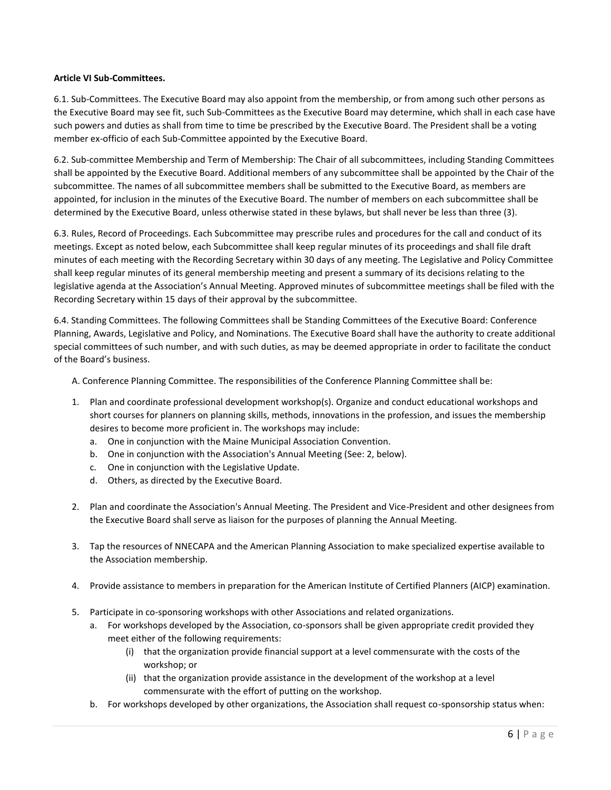### **Article VI Sub-Committees.**

6.1. Sub-Committees. The Executive Board may also appoint from the membership, or from among such other persons as the Executive Board may see fit, such Sub-Committees as the Executive Board may determine, which shall in each case have such powers and duties as shall from time to time be prescribed by the Executive Board. The President shall be a voting member ex-officio of each Sub-Committee appointed by the Executive Board.

6.2. Sub-committee Membership and Term of Membership: The Chair of all subcommittees, including Standing Committees shall be appointed by the Executive Board. Additional members of any subcommittee shall be appointed by the Chair of the subcommittee. The names of all subcommittee members shall be submitted to the Executive Board, as members are appointed, for inclusion in the minutes of the Executive Board. The number of members on each subcommittee shall be determined by the Executive Board, unless otherwise stated in these bylaws, but shall never be less than three (3).

6.3. Rules, Record of Proceedings. Each Subcommittee may prescribe rules and procedures for the call and conduct of its meetings. Except as noted below, each Subcommittee shall keep regular minutes of its proceedings and shall file draft minutes of each meeting with the Recording Secretary within 30 days of any meeting. The Legislative and Policy Committee shall keep regular minutes of its general membership meeting and present a summary of its decisions relating to the legislative agenda at the Association's Annual Meeting. Approved minutes of subcommittee meetings shall be filed with the Recording Secretary within 15 days of their approval by the subcommittee.

6.4. Standing Committees. The following Committees shall be Standing Committees of the Executive Board: Conference Planning, Awards, Legislative and Policy, and Nominations. The Executive Board shall have the authority to create additional special committees of such number, and with such duties, as may be deemed appropriate in order to facilitate the conduct of the Board's business.

- A. Conference Planning Committee. The responsibilities of the Conference Planning Committee shall be:
- 1. Plan and coordinate professional development workshop(s). Organize and conduct educational workshops and short courses for planners on planning skills, methods, innovations in the profession, and issues the membership desires to become more proficient in. The workshops may include:
	- a. One in conjunction with the Maine Municipal Association Convention.
	- b. One in conjunction with the Association's Annual Meeting (See: 2, below).
	- c. One in conjunction with the Legislative Update.
	- d. Others, as directed by the Executive Board.
- 2. Plan and coordinate the Association's Annual Meeting. The President and Vice-President and other designees from the Executive Board shall serve as liaison for the purposes of planning the Annual Meeting.
- 3. Tap the resources of NNECAPA and the American Planning Association to make specialized expertise available to the Association membership.
- 4. Provide assistance to members in preparation for the American Institute of Certified Planners (AICP) examination.
- 5. Participate in co-sponsoring workshops with other Associations and related organizations.
	- a. For workshops developed by the Association, co-sponsors shall be given appropriate credit provided they meet either of the following requirements:
		- (i) that the organization provide financial support at a level commensurate with the costs of the workshop; or
		- (ii) that the organization provide assistance in the development of the workshop at a level commensurate with the effort of putting on the workshop.
	- b. For workshops developed by other organizations, the Association shall request co-sponsorship status when: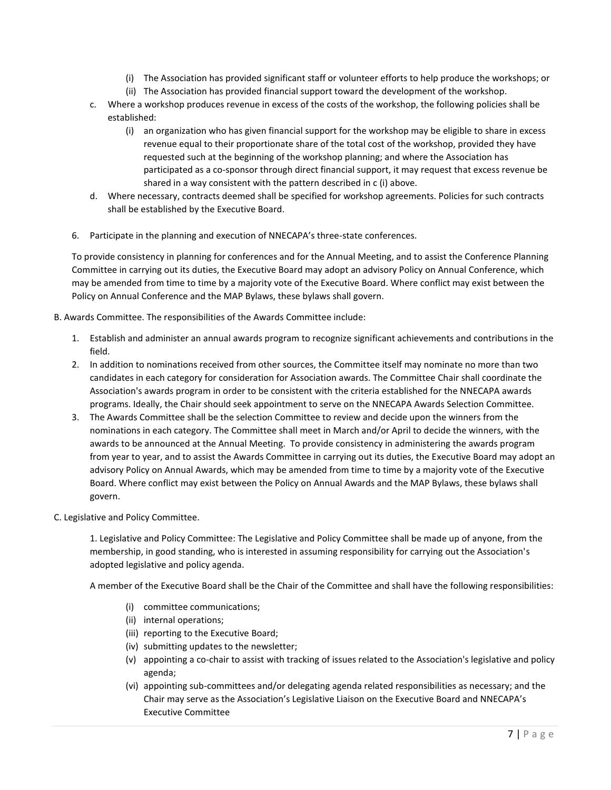- (i) The Association has provided significant staff or volunteer efforts to help produce the workshops; or
- (ii) The Association has provided financial support toward the development of the workshop.
- c. Where a workshop produces revenue in excess of the costs of the workshop, the following policies shall be established:
	- (i) an organization who has given financial support for the workshop may be eligible to share in excess revenue equal to their proportionate share of the total cost of the workshop, provided they have requested such at the beginning of the workshop planning; and where the Association has participated as a co-sponsor through direct financial support, it may request that excess revenue be shared in a way consistent with the pattern described in c (i) above.
- d. Where necessary, contracts deemed shall be specified for workshop agreements. Policies for such contracts shall be established by the Executive Board.
- 6. Participate in the planning and execution of NNECAPA's three-state conferences.

To provide consistency in planning for conferences and for the Annual Meeting, and to assist the Conference Planning Committee in carrying out its duties, the Executive Board may adopt an advisory Policy on Annual Conference, which may be amended from time to time by a majority vote of the Executive Board. Where conflict may exist between the Policy on Annual Conference and the MAP Bylaws, these bylaws shall govern.

B. Awards Committee. The responsibilities of the Awards Committee include:

- 1. Establish and administer an annual awards program to recognize significant achievements and contributions in the field.
- 2. In addition to nominations received from other sources, the Committee itself may nominate no more than two candidates in each category for consideration for Association awards. The Committee Chair shall coordinate the Association's awards program in order to be consistent with the criteria established for the NNECAPA awards programs. Ideally, the Chair should seek appointment to serve on the NNECAPA Awards Selection Committee.
- 3. The Awards Committee shall be the selection Committee to review and decide upon the winners from the nominations in each category. The Committee shall meet in March and/or April to decide the winners, with the awards to be announced at the Annual Meeting. To provide consistency in administering the awards program from year to year, and to assist the Awards Committee in carrying out its duties, the Executive Board may adopt an advisory Policy on Annual Awards, which may be amended from time to time by a majority vote of the Executive Board. Where conflict may exist between the Policy on Annual Awards and the MAP Bylaws, these bylaws shall govern.
- C. Legislative and Policy Committee.

1. Legislative and Policy Committee: The Legislative and Policy Committee shall be made up of anyone, from the membership, in good standing, who is interested in assuming responsibility for carrying out the Association's adopted legislative and policy agenda.

A member of the Executive Board shall be the Chair of the Committee and shall have the following responsibilities:

- (i) committee communications;
- (ii) internal operations;
- (iii) reporting to the Executive Board;
- (iv) submitting updates to the newsletter;
- (v) appointing a co-chair to assist with tracking of issues related to the Association's legislative and policy agenda;
- (vi) appointing sub-committees and/or delegating agenda related responsibilities as necessary; and the Chair may serve as the Association's Legislative Liaison on the Executive Board and NNECAPA's Executive Committee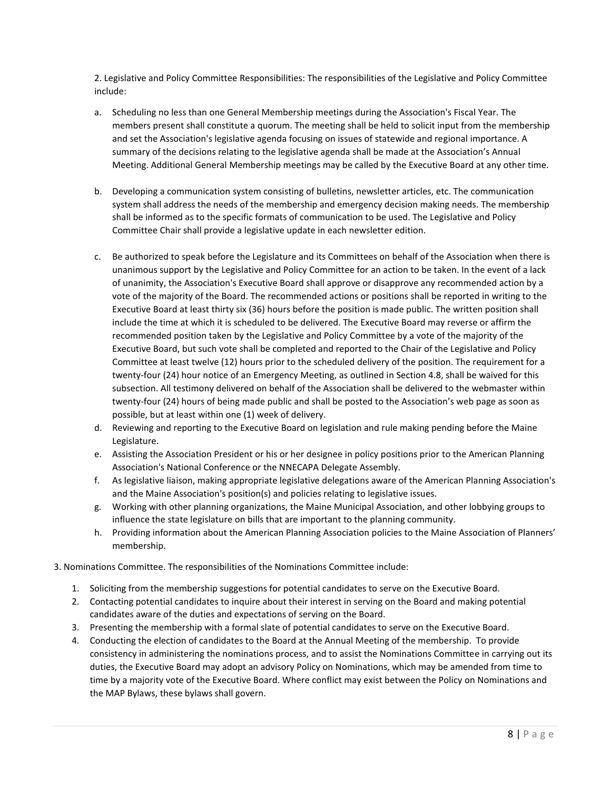2. Legislative and Policy Committee Responsibilities: The responsibilities of the Legislative and Policy Committee include:

- a. Scheduling no less than one General Membership meetings during the Association's Fiscal Year. The members present shall constitute a quorum. The meeting shall be held to solicit input from the membership and set the Association's legislative agenda focusing on issues of statewide and regional importance. A summary of the decisions relating to the legislative agenda shall be made at the Association's Annual Meeting. Additional General Membership meetings may be called by the Executive Board at any other time.
- b. Developing a communication system consisting of bulletins, newsletter articles, etc. The communication system shall address the needs of the membership and emergency decision making needs. The membership shall be informed as to the specific formats of communication to be used. The Legislative and Policy Committee Chair shall provide a legislative update in each newsletter edition.
- c. Be authorized to speak before the Legislature and its Committees on behalf of the Association when there is unanimous support by the Legislative and Policy Committee for an action to be taken. In the event of a lack of unanimity, the Association's Executive Board shall approve or disapprove any recommended action by a vote of the majority of the Board. The recommended actions or positions shall be reported in writing to the Executive Board at least thirty six (36) hours before the position is made public. The written position shall include the time at which it is scheduled to be delivered. The Executive Board may reverse or affirm the recommended position taken by the Legislative and Policy Committee by a vote of the majority of the Executive Board, but such vote shall be completed and reported to the Chair of the Legislative and Policy Committee at least twelve (12) hours prior to the scheduled delivery of the position. The requirement for a twenty-four (24) hour notice of an Emergency Meeting, as outlined in Section 4.8, shall be waived for this subsection. All testimony delivered on behalf of the Association shall be delivered to the webmaster within twenty-four (24) hours of being made public and shall be posted to the Association's web page as soon as possible, but at least within one (1) week of delivery.
- d. Reviewing and reporting to the Executive Board on legislation and rule making pending before the Maine Legislature.
- e. Assisting the Association President or his or her designee in policy positions prior to the American Planning Association's National Conference or the NNECAPA Delegate Assembly.
- f. As legislative liaison, making appropriate legislative delegations aware of the American Planning Association's and the Maine Association's position(s) and policies relating to legislative issues.
- g. Working with other planning organizations, the Maine Municipal Association, and other lobbying groups to influence the state legislature on bills that are important to the planning community.
- h. Providing information about the American Planning Association policies to the Maine Association of Planners' membership.
- 3. Nominations Committee. The responsibilities of the Nominations Committee include:
	- 1. Soliciting from the membership suggestions for potential candidates to serve on the Executive Board.
	- 2. Contacting potential candidates to inquire about their interest in serving on the Board and making potential candidates aware of the duties and expectations of serving on the Board.
	- 3. Presenting the membership with a formal slate of potential candidates to serve on the Executive Board.
	- 4. Conducting the election of candidates to the Board at the Annual Meeting of the membership. To provide consistency in administering the nominations process, and to assist the Nominations Committee in carrying out its duties, the Executive Board may adopt an advisory Policy on Nominations, which may be amended from time to time by a majority vote of the Executive Board. Where conflict may exist between the Policy on Nominations and the MAP Bylaws, these bylaws shall govern.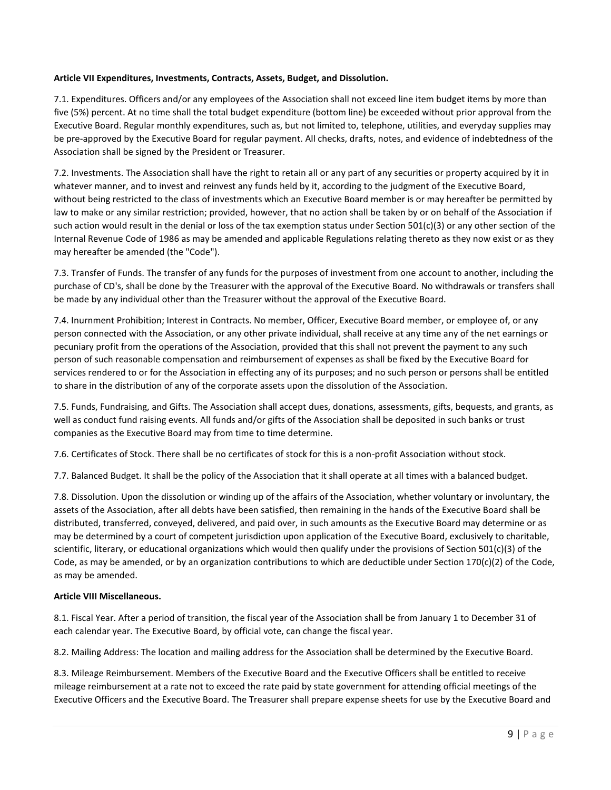# **Article VII Expenditures, Investments, Contracts, Assets, Budget, and Dissolution.**

7.1. Expenditures. Officers and/or any employees of the Association shall not exceed line item budget items by more than five (5%) percent. At no time shall the total budget expenditure (bottom line) be exceeded without prior approval from the Executive Board. Regular monthly expenditures, such as, but not limited to, telephone, utilities, and everyday supplies may be pre-approved by the Executive Board for regular payment. All checks, drafts, notes, and evidence of indebtedness of the Association shall be signed by the President or Treasurer.

7.2. Investments. The Association shall have the right to retain all or any part of any securities or property acquired by it in whatever manner, and to invest and reinvest any funds held by it, according to the judgment of the Executive Board, without being restricted to the class of investments which an Executive Board member is or may hereafter be permitted by law to make or any similar restriction; provided, however, that no action shall be taken by or on behalf of the Association if such action would result in the denial or loss of the tax exemption status under Section 501(c)(3) or any other section of the Internal Revenue Code of 1986 as may be amended and applicable Regulations relating thereto as they now exist or as they may hereafter be amended (the "Code").

7.3. Transfer of Funds. The transfer of any funds for the purposes of investment from one account to another, including the purchase of CD's, shall be done by the Treasurer with the approval of the Executive Board. No withdrawals or transfers shall be made by any individual other than the Treasurer without the approval of the Executive Board.

7.4. Inurnment Prohibition; Interest in Contracts. No member, Officer, Executive Board member, or employee of, or any person connected with the Association, or any other private individual, shall receive at any time any of the net earnings or pecuniary profit from the operations of the Association, provided that this shall not prevent the payment to any such person of such reasonable compensation and reimbursement of expenses as shall be fixed by the Executive Board for services rendered to or for the Association in effecting any of its purposes; and no such person or persons shall be entitled to share in the distribution of any of the corporate assets upon the dissolution of the Association.

7.5. Funds, Fundraising, and Gifts. The Association shall accept dues, donations, assessments, gifts, bequests, and grants, as well as conduct fund raising events. All funds and/or gifts of the Association shall be deposited in such banks or trust companies as the Executive Board may from time to time determine.

7.6. Certificates of Stock. There shall be no certificates of stock for this is a non-profit Association without stock.

7.7. Balanced Budget. It shall be the policy of the Association that it shall operate at all times with a balanced budget.

7.8. Dissolution. Upon the dissolution or winding up of the affairs of the Association, whether voluntary or involuntary, the assets of the Association, after all debts have been satisfied, then remaining in the hands of the Executive Board shall be distributed, transferred, conveyed, delivered, and paid over, in such amounts as the Executive Board may determine or as may be determined by a court of competent jurisdiction upon application of the Executive Board, exclusively to charitable, scientific, literary, or educational organizations which would then qualify under the provisions of Section 501(c)(3) of the Code, as may be amended, or by an organization contributions to which are deductible under Section  $170(c)(2)$  of the Code, as may be amended.

## **Article VIII Miscellaneous.**

8.1. Fiscal Year. After a period of transition, the fiscal year of the Association shall be from January 1 to December 31 of each calendar year. The Executive Board, by official vote, can change the fiscal year.

8.2. Mailing Address: The location and mailing address for the Association shall be determined by the Executive Board.

8.3. Mileage Reimbursement. Members of the Executive Board and the Executive Officers shall be entitled to receive mileage reimbursement at a rate not to exceed the rate paid by state government for attending official meetings of the Executive Officers and the Executive Board. The Treasurer shall prepare expense sheets for use by the Executive Board and